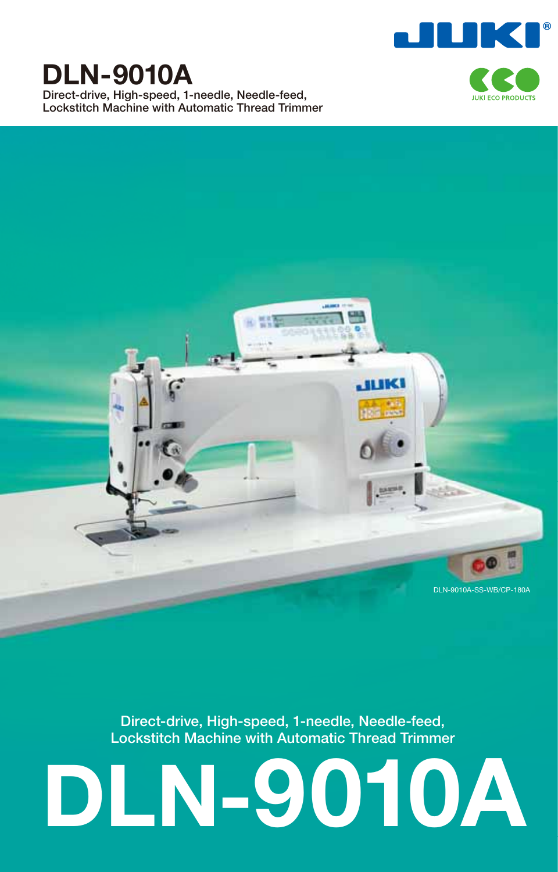

# **DLN-9010A**

**Direct-drive, High-speed, 1-needle, Needle-feed, Lockstitch Machine with Automatic Thread Trimmer**





**Direct-drive, High-speed, 1-needle, Needle-feed, Lockstitch Machine with Automatic Thread Trimmer**

# **DLN-9010A**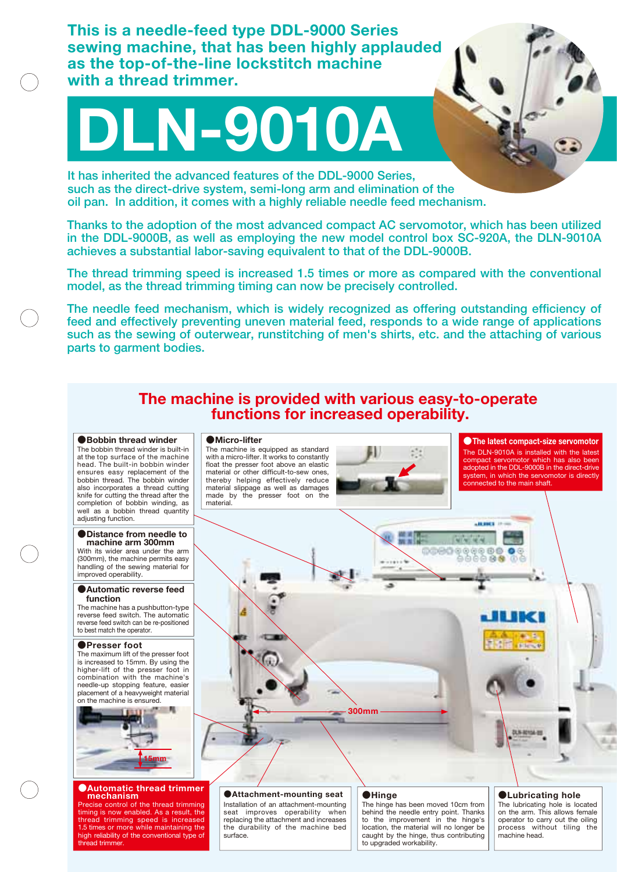**This is a needle-feed type DDL-9000 Series sewing machine, that has been highly applauded as the top-of-the-line lockstitch machine with a thread trimmer.**

# **DLN-9010A**

**It has inherited the advanced features of the DDL-9000 Series, such as the direct-drive system, semi-long arm and elimination of the oil pan. In addition, it comes with a highly reliable needle feed mechanism.** 

**Thanks to the adoption of the most advanced compact AC servomotor, which has been utilized in the DDL-9000B, as well as employing the new model control box SC-920A, the DLN-9010A achieves a substantial labor-saving equivalent to that of the DDL-9000B.** 

**The thread trimming speed is increased 1.5 times or more as compared with the conventional model, as the thread trimming timing can now be precisely controlled.**

**The needle feed mechanism, which is widely recognized as offering outstanding efficiency of feed and effectively preventing uneven material feed, responds to a wide range of applications such as the sewing of outerwear, runstitching of men's shirts, etc. and the attaching of various parts to garment bodies.**

# **The machine is provided with various easy-to-operate functions for increased operability.**

#### ●**Bobbin thread winder**

The bobbin thread winder is built-in at the top surface of the machine head. The built-in bobbin winder ensures easy replacement of the bobbin thread. The bobbin winder also incorporates a thread cutting knife for cutting the thread after the completion of bobbin winding, as well as a bobbin thread quantity adjusting function.

# ●**Distance from needle to**

With its wider area under the arm (300mm), the machine permits easy handling of the sewing material for improved operability. **machine arm 300mm**

#### ●**Automatic reverse feed function**

The machine has a pushbutton-type reverse feed switch. The automatic reverse feed switch can be re-positioned to best match the operator.

## ●**Presser foot**

The maximum lift of the presser foot is increased to 15mm. By using the higher-lift of the presser foot in combination with the machine's needle-up stopping feature, easier placement of a heavyweight material on the machine is ensured.



#### ●**Automatic thread trimmer mechanism**

Precise control of the thread trimming<br>timing is now enabled. As a result, the<br>thread trimming speed is increased<br>1.5 times or more while maintaining the<br>high reliability of the conventional type of hread trimmer.

## ●**Micro-lifter**

surface.

The machine is equipped as standard with a micro-lifter. It works to constantly float the presser foot above an elastic material or other difficult-to-sew ones, thereby helping effectively reduce material slippage as well as damages made by the presser foot on the material.



The DLN-9010A is installed with the latest compact servomotor which has also been adopted in the DDL-9000B in the direct-drive system, in which the servomotor is directly connected to the main shaft. ●**The latest compact-size servomotor**

**ARRESTS** 

 $0000$ 

#### Installation of an attachment-mounting seat improves operability when ●**Attachment-mounting seat** ●**Hinge**

replacing the attachment and increases the durability of the machine bed The hinge has been moved 10cm from behind the needle entry point. Thanks to the improvement in the hinge's location, the material will no longer be caught by the hinge, thus contributing to upgraded workability.

**300mm**

## ●**Lubricating hole**

The lubricating hole is located on the arm. This allows female operator to carry out the oiling process without tiling the machine head.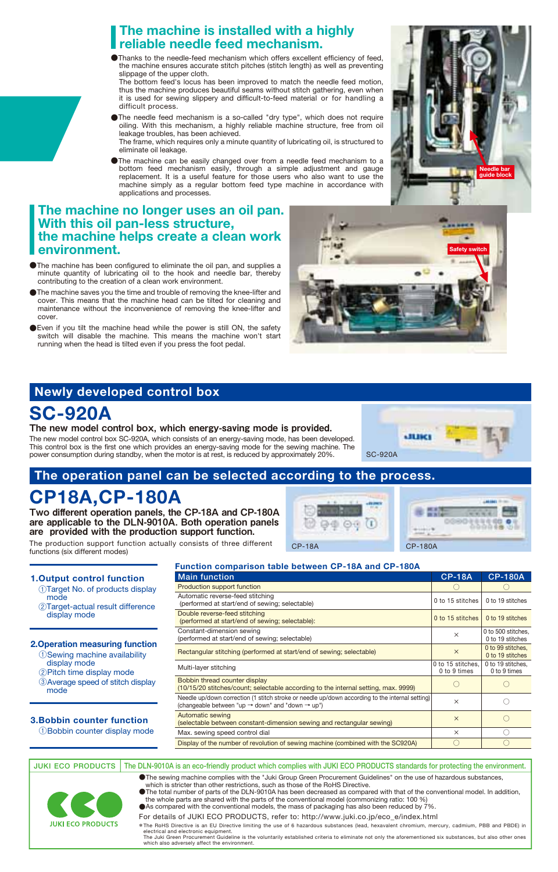# **The machine is installed with a highly reliable needle feed mechanism.**

●Thanks to the needle-feed mechanism which offers excellent efficiency of feed, the machine ensures accurate stitch pitches (stitch length) as well as preventing slippage of the upper cloth.

The bottom feed's locus has been improved to match the needle feed motion, thus the machine produces beautiful seams without stitch gathering, even when it is used for sewing slippery and difficult-to-feed material or for handling a difficult process.

- ●The needle feed mechanism is a so-called "dry type", which does not require oiling. With this mechanism, a highly reliable machine structure, free from oil leakage troubles, has been achieved.
- The frame, which requires only a minute quantity of lubricating oil, is structured to eliminate oil leakage.
- ●The machine can be easily changed over from a needle feed mechanism to a bottom feed mechanism easily, through a simple adjustment and gauge replacement. It is a useful feature for those users who also want to use the machine simply as a regular bottom feed type machine in accordance with applications and processes.

# **The machine no longer uses an oil pan. With this oil pan-less structure, the machine helps create a clean work environment.**

- ●The machine has been configured to eliminate the oil pan, and supplies a minute quantity of lubricating oil to the hook and needle bar, thereby contributing to the creation of a clean work environment.
- ●The machine saves you the time and trouble of removing the knee-lifter and cover. This means that the machine head can be tilted for cleaning and maintenance without the inconvenience of removing the knee-lifter and cover.
- ●Even if you tilt the machine head while the power is still ON, the safety switch will disable the machine. This means the machine won't start running when the head is tilted even if you press the foot pedal.

# **Newly developed control box**

# **SC-920A**

mode

mode

display mode

 display mode ②Pitch time display mode

The new model control box, which energy-saving mode is provided. The new model control box SC-920A, which consists of an energy-saving mode, has been developed. This control box is the first one which provides an energy-saving mode for the sewing machine. The

power consumption during standby, when the motor is at rest, is reduced by approximately 20%.

which also adversely affect the environment.

# **The operation panel can be selected according to the process.**

# **CP18A,CP-180A**

Two different operation panels, the CP-18A and CP-180A are applicable to the DLN-9010A. Both operation panels are provided with the production support function.

The production support function actually consists of three different functions (six different modes)



CP-18A CP-180A

 $\bigcirc$  $\bigcap$  $\circ$ ○ ○

0 to 500 stitches. 0 to 19 stitches 0 to 99 stitches. 0 to 19 stitches 0 to 19 stitches. 0 to 9 times

○

#### **Main function 1.Output control function** ①Target No. of products display ②Target-actual result difference **2.Operation measuring function** ①Sewing machine availability ③Average speed of stitch display **3.Bobbin counter function** ①Bobbin counter display mode **CP-18A CP-180A** Production support function Automatic reverse-feed stitching (performed at start/end of sewing; selectable) Double reverse-feed stitching (performed at start/end of sewing; selectable) Constant-dimension sewing (performed at start/end of sewing; selectable) Rectangular stitching (performed at start/end of sewing; selectable) Multi-layer stitching Bobbin thread counter display (10/15/20 stitches/count; selectable according to the internal setting, max. 9999) Needle up/down correction (1 stitch stroke or needle up/down according to the internal setting) (changeable between "up → down" and "down → up") Automatic sewing (selectable between constant-dimension sewing and rectangular sewing) Max. sewing speed control dial Display of the number of revolution of sewing machine (combined with the SC920A) ○ ○ × × × ○ × × 0 to 15 stitches 0 to 19 stitches 0 to 15 stitches 0 to 19 stitches 0 to 15 stitches. 0 to 9 times

**Function comparison table between CP-18A and CP-180A**

●The sewing machine complies with the "Juki Group Green Procurement Guidelines" on the use of hazardous substances, which is stricter than other restrictions, such as those of the RoHS Directive. ●The total number of parts of the DLN-9010A has been decreased as compared with that of the conventional model. In addition, the whole parts are shared with the parts of the conventional model (commonizing ratio: 100 %) **JUKI ECO PRODUCTS The DLN-9010A is an eco-friendly product which complies with JUKI ECO PRODUCTS standards for protecting the environment.**



●As compared with the conventional models, the mass of packaging has also been reduced by 7%

For details of JUKI ECO PRODUCTS, refer to: http://www.juki.co.jp/eco\_e/index.html

Fine RoHS Directive is an EU Directive limiting the use of 6 hazardous substances (lead, hexavalent chromium, mercury, cadmium, PBB and PBDE) in<br>electrical and electronic equipment.<br>The Juki Green Procurement Guideline is



**Safety switch**